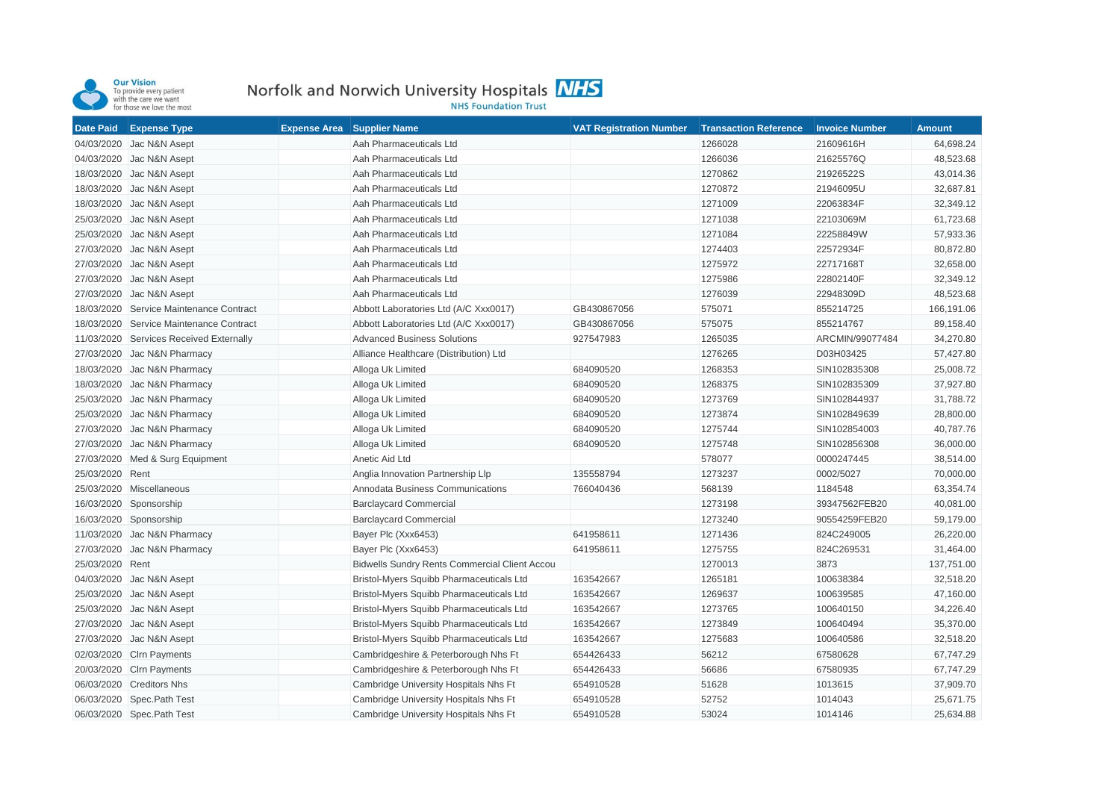

## Norfolk and Norwich University Hospitals **NHS**<br>NHS Foundation Trust

| <b>Date Paid</b> | <b>Expense Type</b>                     | <b>Expense Area</b> Supplier Name                    | <b>VAT Registration Number</b> | <b>Transaction Reference</b> | <b>Invoice Number</b> | <b>Amount</b> |
|------------------|-----------------------------------------|------------------------------------------------------|--------------------------------|------------------------------|-----------------------|---------------|
|                  | 04/03/2020 Jac N&N Asept                | Aah Pharmaceuticals Ltd                              |                                | 1266028                      | 21609616H             | 64,698.24     |
| 04/03/2020       | Jac N&N Asept                           | Aah Pharmaceuticals Ltd                              |                                | 1266036                      | 21625576Q             | 48,523.68     |
| 18/03/2020       | Jac N&N Asept                           | Aah Pharmaceuticals Ltd                              |                                | 1270862                      | 21926522S             | 43,014.36     |
| 18/03/2020       | Jac N&N Asept                           | Aah Pharmaceuticals Ltd                              |                                | 1270872                      | 21946095U             | 32,687.81     |
| 18/03/2020       | Jac N&N Asept                           | Aah Pharmaceuticals Ltd                              |                                | 1271009                      | 22063834F             | 32,349.12     |
| 25/03/2020       | Jac N&N Asept                           | Aah Pharmaceuticals Ltd                              |                                | 1271038                      | 22103069M             | 61,723.68     |
| 25/03/2020       | Jac N&N Asept                           | Aah Pharmaceuticals Ltd                              |                                | 1271084                      | 22258849W             | 57,933.36     |
| 27/03/2020       | Jac N&N Asept                           | Aah Pharmaceuticals Ltd                              |                                | 1274403                      | 22572934F             | 80,872.80     |
| 27/03/2020       | Jac N&N Asept                           | Aah Pharmaceuticals Ltd                              |                                | 1275972                      | 22717168T             | 32,658.00     |
| 27/03/2020       | Jac N&N Asept                           | Aah Pharmaceuticals Ltd                              |                                | 1275986                      | 22802140F             | 32,349.12     |
| 27/03/2020       | Jac N&N Asept                           | Aah Pharmaceuticals Ltd                              |                                | 1276039                      | 22948309D             | 48,523.68     |
|                  | 18/03/2020 Service Maintenance Contract | Abbott Laboratories Ltd (A/C Xxx0017)                | GB430867056                    | 575071                       | 855214725             | 166,191.06    |
| 18/03/2020       | Service Maintenance Contract            | Abbott Laboratories Ltd (A/C Xxx0017)                | GB430867056                    | 575075                       | 855214767             | 89,158.40     |
| 11/03/2020       | Services Received Externally            | <b>Advanced Business Solutions</b>                   | 927547983                      | 1265035                      | ARCMIN/99077484       | 34,270.80     |
| 27/03/2020       | Jac N&N Pharmacy                        | Alliance Healthcare (Distribution) Ltd               |                                | 1276265                      | D03H03425             | 57,427.80     |
| 18/03/2020       | Jac N&N Pharmacy                        | Alloga Uk Limited                                    | 684090520                      | 1268353                      | SIN102835308          | 25,008.72     |
| 18/03/2020       | Jac N&N Pharmacy                        | Alloga Uk Limited                                    | 684090520                      | 1268375                      | SIN102835309          | 37,927.80     |
| 25/03/2020       | Jac N&N Pharmacy                        | Alloga Uk Limited                                    | 684090520                      | 1273769                      | SIN102844937          | 31,788.72     |
| 25/03/2020       | Jac N&N Pharmacy                        | Alloga Uk Limited                                    | 684090520                      | 1273874                      | SIN102849639          | 28,800.00     |
| 27/03/2020       | Jac N&N Pharmacy                        | Alloga Uk Limited                                    | 684090520                      | 1275744                      | SIN102854003          | 40,787.76     |
| 27/03/2020       | Jac N&N Pharmacy                        | Alloga Uk Limited                                    | 684090520                      | 1275748                      | SIN102856308          | 36,000.00     |
| 27/03/2020       | Med & Surg Equipment                    | Anetic Aid Ltd                                       |                                | 578077                       | 0000247445            | 38,514.00     |
| 25/03/2020 Rent  |                                         | Anglia Innovation Partnership Llp                    | 135558794                      | 1273237                      | 0002/5027             | 70,000.00     |
| 25/03/2020       | Miscellaneous                           | Annodata Business Communications                     | 766040436                      | 568139                       | 1184548               | 63,354.74     |
| 16/03/2020       | Sponsorship                             | <b>Barclaycard Commercial</b>                        |                                | 1273198                      | 39347562FEB20         | 40,081.00     |
| 16/03/2020       | Sponsorship                             | <b>Barclaycard Commercial</b>                        |                                | 1273240                      | 90554259FEB20         | 59,179.00     |
| 11/03/2020       | Jac N&N Pharmacy                        | Bayer Plc (Xxx6453)                                  | 641958611                      | 1271436                      | 824C249005            | 26,220.00     |
| 27/03/2020       | Jac N&N Pharmacy                        | Bayer Plc (Xxx6453)                                  | 641958611                      | 1275755                      | 824C269531            | 31,464.00     |
| 25/03/2020 Rent  |                                         | <b>Bidwells Sundry Rents Commercial Client Accou</b> |                                | 1270013                      | 3873                  | 137,751.00    |
| 04/03/2020       | Jac N&N Asept                           | Bristol-Myers Squibb Pharmaceuticals Ltd             | 163542667                      | 1265181                      | 100638384             | 32,518.20     |
| 25/03/2020       | Jac N&N Asept                           | Bristol-Myers Squibb Pharmaceuticals Ltd             | 163542667                      | 1269637                      | 100639585             | 47,160.00     |
| 25/03/2020       | Jac N&N Asept                           | Bristol-Myers Squibb Pharmaceuticals Ltd             | 163542667                      | 1273765                      | 100640150             | 34,226.40     |
| 27/03/2020       | Jac N&N Asept                           | Bristol-Myers Squibb Pharmaceuticals Ltd             | 163542667                      | 1273849                      | 100640494             | 35,370.00     |
| 27/03/2020       | Jac N&N Asept                           | Bristol-Myers Squibb Pharmaceuticals Ltd             | 163542667                      | 1275683                      | 100640586             | 32,518.20     |
| 02/03/2020       | <b>CIrn Payments</b>                    | Cambridgeshire & Peterborough Nhs Ft                 | 654426433                      | 56212                        | 67580628              | 67,747.29     |
|                  | 20/03/2020 Clrn Payments                | Cambridgeshire & Peterborough Nhs Ft                 | 654426433                      | 56686                        | 67580935              | 67,747.29     |
|                  | 06/03/2020 Creditors Nhs                | Cambridge University Hospitals Nhs Ft                | 654910528                      | 51628                        | 1013615               | 37,909.70     |
| 06/03/2020       | Spec.Path Test                          | Cambridge University Hospitals Nhs Ft                | 654910528                      | 52752                        | 1014043               | 25,671.75     |
|                  | 06/03/2020 Spec.Path Test               | Cambridge University Hospitals Nhs Ft                | 654910528                      | 53024                        | 1014146               | 25,634.88     |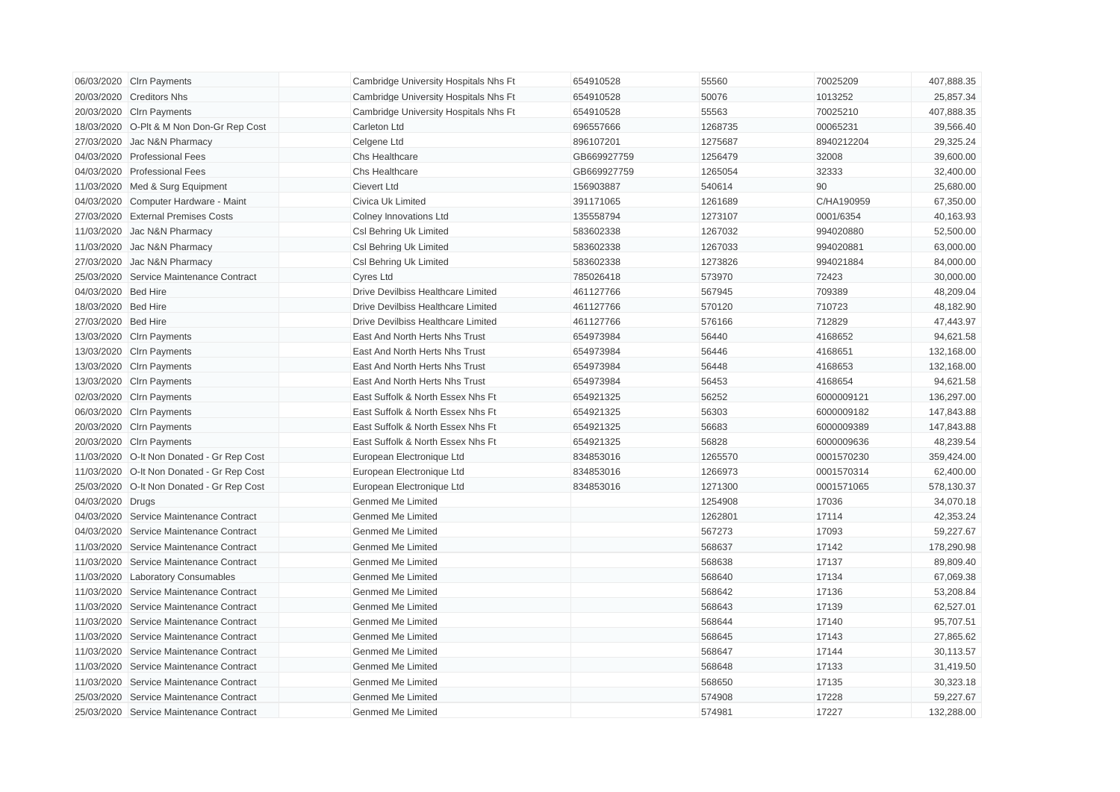|            | 06/03/2020 Clrn Payments       | Cambridge University Hospitals Nhs Ft | 654910528   | 55560   | 70025209   | 407,888.35 |
|------------|--------------------------------|---------------------------------------|-------------|---------|------------|------------|
| 20/03/2020 | <b>Creditors Nhs</b>           | Cambridge University Hospitals Nhs Ft | 654910528   | 50076   | 1013252    | 25,857.34  |
| 20/03/2020 | <b>CIrn Payments</b>           | Cambridge University Hospitals Nhs Ft | 654910528   | 55563   | 70025210   | 407,888.35 |
| 18/03/2020 | O-Plt & M Non Don-Gr Rep Cost  | Carleton Ltd                          | 696557666   | 1268735 | 00065231   | 39,566.40  |
| 27/03/2020 | Jac N&N Pharmacy               | Celgene Ltd                           | 896107201   | 1275687 | 8940212204 | 29,325.24  |
| 04/03/2020 | <b>Professional Fees</b>       | <b>Chs Healthcare</b>                 | GB669927759 | 1256479 | 32008      | 39,600.00  |
| 04/03/2020 | <b>Professional Fees</b>       | Chs Healthcare                        | GB669927759 | 1265054 | 32333      | 32,400.00  |
| 11/03/2020 | Med & Surg Equipment           | Cievert Ltd                           | 156903887   | 540614  | 90         | 25,680.00  |
| 04/03/2020 | Computer Hardware - Maint      | Civica Uk Limited                     | 391171065   | 1261689 | C/HA190959 | 67,350.00  |
| 27/03/2020 | <b>External Premises Costs</b> | Colney Innovations Ltd                | 135558794   | 1273107 | 0001/6354  | 40,163.93  |
| 11/03/2020 | Jac N&N Pharmacy               | Csl Behring Uk Limited                | 583602338   | 1267032 | 994020880  | 52,500.00  |
| 11/03/2020 | Jac N&N Pharmacy               | Csl Behring Uk Limited                | 583602338   | 1267033 | 994020881  | 63,000.00  |
| 27/03/2020 | Jac N&N Pharmacy               | Csl Behring Uk Limited                | 583602338   | 1273826 | 994021884  | 84,000.00  |
| 25/03/2020 | Service Maintenance Contract   | <b>Cyres Ltd</b>                      | 785026418   | 573970  | 72423      | 30,000.00  |
| 04/03/2020 | <b>Bed Hire</b>                | Drive Devilbiss Healthcare Limited    | 461127766   | 567945  | 709389     | 48,209.04  |
| 18/03/2020 | <b>Bed Hire</b>                | Drive Devilbiss Healthcare Limited    | 461127766   | 570120  | 710723     | 48,182.90  |
| 27/03/2020 | <b>Bed Hire</b>                | Drive Devilbiss Healthcare Limited    | 461127766   | 576166  | 712829     | 47,443.97  |
| 13/03/2020 | <b>Cirn Payments</b>           | East And North Herts Nhs Trust        | 654973984   | 56440   | 4168652    | 94,621.58  |
| 13/03/2020 | <b>CIrn Payments</b>           | East And North Herts Nhs Trust        | 654973984   | 56446   | 4168651    | 132,168.00 |
| 13/03/2020 | <b>CIrn Payments</b>           | East And North Herts Nhs Trust        | 654973984   | 56448   | 4168653    | 132,168.00 |
| 13/03/2020 | <b>CIrn Payments</b>           | East And North Herts Nhs Trust        | 654973984   | 56453   | 4168654    | 94,621.58  |
| 02/03/2020 | <b>Cirn Payments</b>           | East Suffolk & North Essex Nhs Ft     | 654921325   | 56252   | 6000009121 | 136,297.00 |
| 06/03/2020 | <b>CIrn Payments</b>           | East Suffolk & North Essex Nhs Ft     | 654921325   | 56303   | 6000009182 | 147,843.88 |
| 20/03/2020 | <b>CIrn Payments</b>           | East Suffolk & North Essex Nhs Ft     | 654921325   | 56683   | 6000009389 | 147,843.88 |
| 20/03/2020 | <b>CIm Payments</b>            | East Suffolk & North Essex Nhs Ft     | 654921325   | 56828   | 6000009636 | 48,239.54  |
| 11/03/2020 | O-It Non Donated - Gr Rep Cost | European Electronique Ltd             | 834853016   | 1265570 | 0001570230 | 359,424.00 |
| 11/03/2020 | O-It Non Donated - Gr Rep Cost | European Electronique Ltd             | 834853016   | 1266973 | 0001570314 | 62,400.00  |
| 25/03/2020 | O-It Non Donated - Gr Rep Cost | European Electronique Ltd             | 834853016   | 1271300 | 0001571065 | 578,130.37 |
| 04/03/2020 | Drugs                          | <b>Genmed Me Limited</b>              |             | 1254908 | 17036      | 34,070.18  |
| 04/03/2020 | Service Maintenance Contract   | <b>Genmed Me Limited</b>              |             | 1262801 | 17114      | 42,353.24  |
| 04/03/2020 | Service Maintenance Contract   | <b>Genmed Me Limited</b>              |             | 567273  | 17093      | 59,227.67  |
| 11/03/2020 | Service Maintenance Contract   | <b>Genmed Me Limited</b>              |             | 568637  | 17142      | 178,290.98 |
| 11/03/2020 | Service Maintenance Contract   | <b>Genmed Me Limited</b>              |             | 568638  | 17137      | 89,809.40  |
| 11/03/2020 | <b>Laboratory Consumables</b>  | <b>Genmed Me Limited</b>              |             | 568640  | 17134      | 67,069.38  |
| 11/03/2020 | Service Maintenance Contract   | <b>Genmed Me Limited</b>              |             | 568642  | 17136      | 53,208.84  |
| 11/03/2020 | Service Maintenance Contract   | <b>Genmed Me Limited</b>              |             | 568643  | 17139      | 62,527.01  |
| 11/03/2020 | Service Maintenance Contract   | <b>Genmed Me Limited</b>              |             | 568644  | 17140      | 95,707.51  |
| 11/03/2020 | Service Maintenance Contract   | <b>Genmed Me Limited</b>              |             | 568645  | 17143      | 27,865.62  |
| 11/03/2020 | Service Maintenance Contract   | <b>Genmed Me Limited</b>              |             | 568647  | 17144      | 30,113.57  |
| 11/03/2020 | Service Maintenance Contract   | <b>Genmed Me Limited</b>              |             | 568648  | 17133      | 31,419.50  |
| 11/03/2020 | Service Maintenance Contract   | <b>Genmed Me Limited</b>              |             | 568650  | 17135      | 30,323.18  |
| 25/03/2020 | Service Maintenance Contract   | <b>Genmed Me Limited</b>              |             | 574908  | 17228      | 59,227.67  |
| 25/03/2020 | Service Maintenance Contract   | <b>Genmed Me Limited</b>              |             | 574981  | 17227      | 132,288.00 |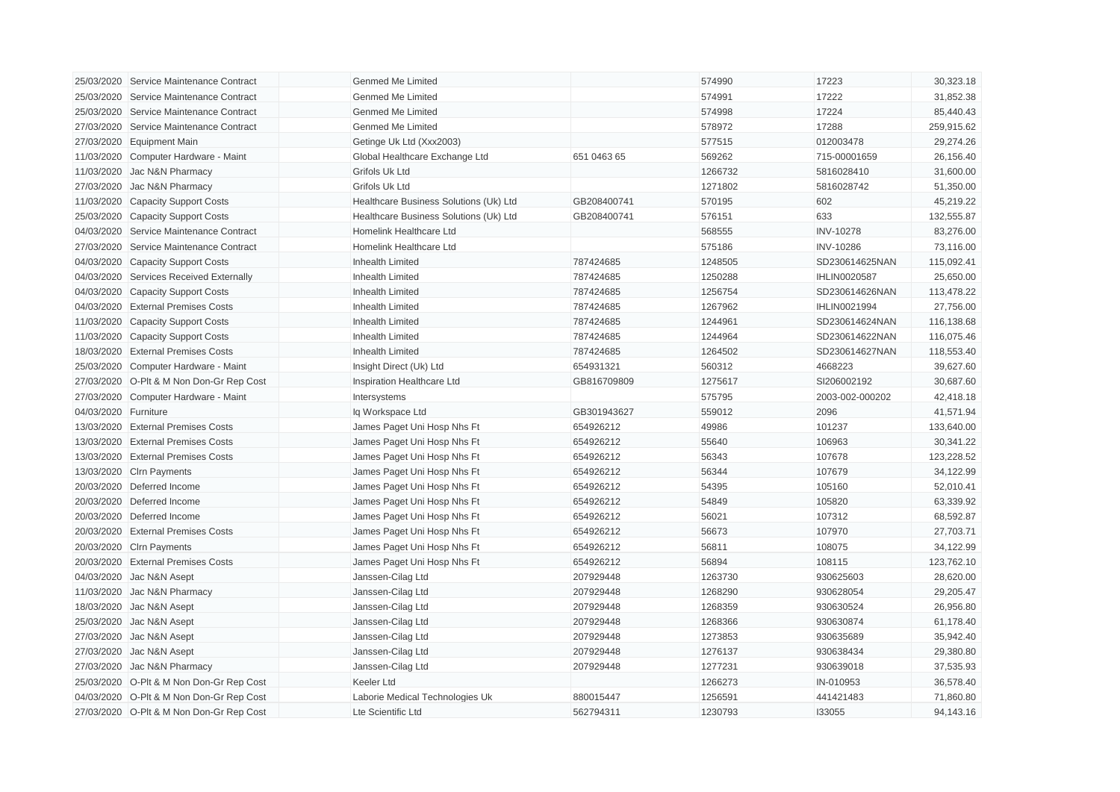|            | 25/03/2020 Service Maintenance Contract  | <b>Genmed Me Limited</b>               |             | 574990  | 17223               | 30,323.18  |
|------------|------------------------------------------|----------------------------------------|-------------|---------|---------------------|------------|
| 25/03/2020 | Service Maintenance Contract             | Genmed Me Limited                      |             | 574991  | 17222               | 31,852.38  |
|            | 25/03/2020 Service Maintenance Contract  | <b>Genmed Me Limited</b>               |             | 574998  | 17224               | 85,440.43  |
| 27/03/2020 | Service Maintenance Contract             | <b>Genmed Me Limited</b>               |             | 578972  | 17288               | 259,915.62 |
| 27/03/2020 | <b>Equipment Main</b>                    | Getinge Uk Ltd (Xxx2003)               |             | 577515  | 012003478           | 29,274.26  |
| 11/03/2020 | Computer Hardware - Maint                | Global Healthcare Exchange Ltd         | 651 0463 65 | 569262  | 715-00001659        | 26,156.40  |
| 11/03/2020 | Jac N&N Pharmacy                         | Grifols Uk Ltd                         |             | 1266732 | 5816028410          | 31,600.00  |
| 27/03/2020 | Jac N&N Pharmacy                         | Grifols Uk Ltd                         |             | 1271802 | 5816028742          | 51,350.00  |
| 11/03/2020 | <b>Capacity Support Costs</b>            | Healthcare Business Solutions (Uk) Ltd | GB208400741 | 570195  | 602                 | 45,219.22  |
| 25/03/2020 | <b>Capacity Support Costs</b>            | Healthcare Business Solutions (Uk) Ltd | GB208400741 | 576151  | 633                 | 132,555.87 |
| 04/03/2020 | Service Maintenance Contract             | Homelink Healthcare Ltd                |             | 568555  | <b>INV-10278</b>    | 83,276.00  |
| 27/03/2020 | Service Maintenance Contract             | Homelink Healthcare Ltd                |             | 575186  | INV-10286           | 73,116.00  |
| 04/03/2020 | <b>Capacity Support Costs</b>            | Inhealth Limited                       | 787424685   | 1248505 | SD230614625NAN      | 115,092.41 |
| 04/03/2020 | Services Received Externally             | Inhealth Limited                       | 787424685   | 1250288 | <b>IHLIN0020587</b> | 25,650.00  |
| 04/03/2020 | <b>Capacity Support Costs</b>            | Inhealth Limited                       | 787424685   | 1256754 | SD230614626NAN      | 113,478.22 |
| 04/03/2020 | <b>External Premises Costs</b>           | Inhealth Limited                       | 787424685   | 1267962 | <b>IHLIN0021994</b> | 27,756.00  |
| 11/03/2020 | <b>Capacity Support Costs</b>            | Inhealth Limited                       | 787424685   | 1244961 | SD230614624NAN      | 116,138.68 |
| 11/03/2020 | <b>Capacity Support Costs</b>            | Inhealth Limited                       | 787424685   | 1244964 | SD230614622NAN      | 116,075.46 |
| 18/03/2020 | <b>External Premises Costs</b>           | Inhealth Limited                       | 787424685   | 1264502 | SD230614627NAN      | 118,553.40 |
| 25/03/2020 | Computer Hardware - Maint                | Insight Direct (Uk) Ltd                | 654931321   | 560312  | 4668223             | 39,627.60  |
| 27/03/2020 | O-Plt & M Non Don-Gr Rep Cost            | Inspiration Healthcare Ltd             | GB816709809 | 1275617 | SI206002192         | 30,687.60  |
| 27/03/2020 | Computer Hardware - Maint                | Intersystems                           |             | 575795  | 2003-002-000202     | 42,418.18  |
| 04/03/2020 | Furniture                                | Iq Workspace Ltd                       | GB301943627 | 559012  | 2096                | 41,571.94  |
| 13/03/2020 | <b>External Premises Costs</b>           | James Paget Uni Hosp Nhs Ft            | 654926212   | 49986   | 101237              | 133,640.00 |
| 13/03/2020 | <b>External Premises Costs</b>           | James Paget Uni Hosp Nhs Ft            | 654926212   | 55640   | 106963              | 30,341.22  |
| 13/03/2020 | <b>External Premises Costs</b>           | James Paget Uni Hosp Nhs Ft            | 654926212   | 56343   | 107678              | 123,228.52 |
| 13/03/2020 | <b>CIrn Payments</b>                     | James Paget Uni Hosp Nhs Ft            | 654926212   | 56344   | 107679              | 34,122.99  |
| 20/03/2020 | Deferred Income                          | James Paget Uni Hosp Nhs Ft            | 654926212   | 54395   | 105160              | 52,010.41  |
| 20/03/2020 | Deferred Income                          | James Paget Uni Hosp Nhs Ft            | 654926212   | 54849   | 105820              | 63,339.92  |
| 20/03/2020 | Deferred Income                          | James Paget Uni Hosp Nhs Ft            | 654926212   | 56021   | 107312              | 68,592.87  |
| 20/03/2020 | <b>External Premises Costs</b>           | James Paget Uni Hosp Nhs Ft            | 654926212   | 56673   | 107970              | 27,703.71  |
| 20/03/2020 | <b>CIrn Payments</b>                     | James Paget Uni Hosp Nhs Ft            | 654926212   | 56811   | 108075              | 34,122.99  |
| 20/03/2020 | <b>External Premises Costs</b>           | James Paget Uni Hosp Nhs Ft            | 654926212   | 56894   | 108115              | 123,762.10 |
| 04/03/2020 | Jac N&N Asept                            | Janssen-Cilag Ltd                      | 207929448   | 1263730 | 930625603           | 28.620.00  |
| 11/03/2020 | Jac N&N Pharmacy                         | Janssen-Cilag Ltd                      | 207929448   | 1268290 | 930628054           | 29,205.47  |
| 18/03/2020 | Jac N&N Asept                            | Janssen-Cilag Ltd                      | 207929448   | 1268359 | 930630524           | 26,956.80  |
| 25/03/2020 | Jac N&N Asept                            | Janssen-Cilag Ltd                      | 207929448   | 1268366 | 930630874           | 61,178.40  |
| 27/03/2020 | Jac N&N Asept                            | Janssen-Cilag Ltd                      | 207929448   | 1273853 | 930635689           | 35,942.40  |
| 27/03/2020 | Jac N&N Asept                            | Janssen-Cilag Ltd                      | 207929448   | 1276137 | 930638434           | 29,380.80  |
| 27/03/2020 | Jac N&N Pharmacy                         | Janssen-Cilag Ltd                      | 207929448   | 1277231 | 930639018           | 37,535.93  |
| 25/03/2020 | O-PIt & M Non Don-Gr Rep Cost            | Keeler Ltd                             |             | 1266273 | IN-010953           | 36,578.40  |
|            | 04/03/2020 O-Plt & M Non Don-Gr Rep Cost | Laborie Medical Technologies Uk        | 880015447   | 1256591 | 441421483           | 71,860.80  |
|            | 27/03/2020 O-Plt & M Non Don-Gr Rep Cost | Lte Scientific Ltd                     | 562794311   | 1230793 | 133055              | 94,143.16  |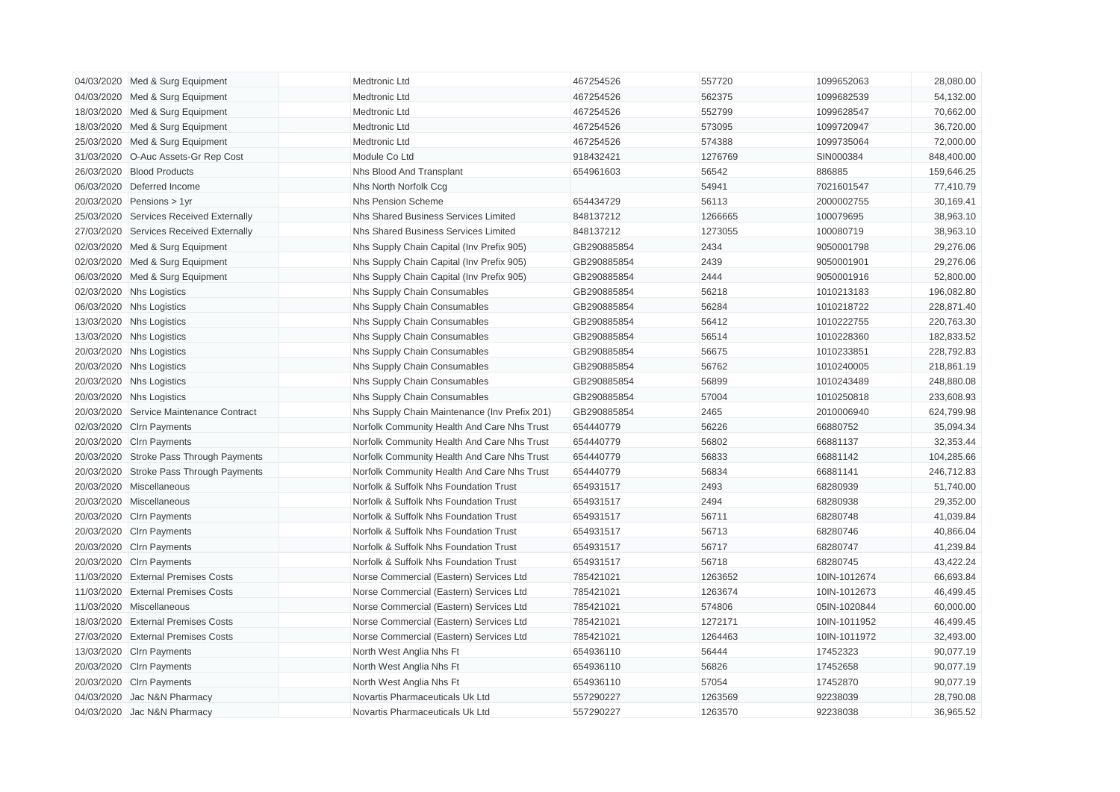| 04/03/2020 | Med & Surg Equipment                | Medtronic Ltd                                 | 467254526   | 557720  | 1099652063   | 28,080.00  |
|------------|-------------------------------------|-----------------------------------------------|-------------|---------|--------------|------------|
| 04/03/2020 | Med & Surg Equipment                | Medtronic Ltd                                 | 467254526   | 562375  | 1099682539   | 54,132.00  |
| 18/03/2020 | Med & Surg Equipment                | Medtronic Ltd                                 | 467254526   | 552799  | 1099628547   | 70,662.00  |
| 18/03/2020 | Med & Surg Equipment                | Medtronic Ltd                                 | 467254526   | 573095  | 1099720947   | 36,720.00  |
| 25/03/2020 | Med & Surg Equipment                | Medtronic Ltd                                 | 467254526   | 574388  | 1099735064   | 72,000.00  |
| 31/03/2020 | O-Auc Assets-Gr Rep Cost            | Module Co Ltd                                 | 918432421   | 1276769 | SIN000384    | 848,400.00 |
| 26/03/2020 | <b>Blood Products</b>               | Nhs Blood And Transplant                      | 654961603   | 56542   | 886885       | 159,646.25 |
| 06/03/2020 | Deferred Income                     | Nhs North Norfolk Ccg                         |             | 54941   | 7021601547   | 77,410.79  |
| 20/03/2020 | Pensions > 1yr                      | <b>Nhs Pension Scheme</b>                     | 654434729   | 56113   | 2000002755   | 30,169.41  |
| 25/03/2020 | Services Received Externally        | Nhs Shared Business Services Limited          | 848137212   | 1266665 | 100079695    | 38,963.10  |
| 27/03/2020 | Services Received Externally        | Nhs Shared Business Services Limited          | 848137212   | 1273055 | 100080719    | 38,963.10  |
| 02/03/2020 | Med & Surg Equipment                | Nhs Supply Chain Capital (Inv Prefix 905)     | GB290885854 | 2434    | 9050001798   | 29,276.06  |
| 02/03/2020 | Med & Surg Equipment                | Nhs Supply Chain Capital (Inv Prefix 905)     | GB290885854 | 2439    | 9050001901   | 29,276.06  |
| 06/03/2020 | Med & Surg Equipment                | Nhs Supply Chain Capital (Inv Prefix 905)     | GB290885854 | 2444    | 9050001916   | 52,800.00  |
| 02/03/2020 | <b>Nhs Logistics</b>                | Nhs Supply Chain Consumables                  | GB290885854 | 56218   | 1010213183   | 196,082.80 |
| 06/03/2020 | <b>Nhs Logistics</b>                | Nhs Supply Chain Consumables                  | GB290885854 | 56284   | 1010218722   | 228,871.40 |
| 13/03/2020 | <b>Nhs Logistics</b>                | Nhs Supply Chain Consumables                  | GB290885854 | 56412   | 1010222755   | 220,763.30 |
| 13/03/2020 | <b>Nhs Logistics</b>                | Nhs Supply Chain Consumables                  | GB290885854 | 56514   | 1010228360   | 182,833.52 |
| 20/03/2020 | <b>Nhs Logistics</b>                | Nhs Supply Chain Consumables                  | GB290885854 | 56675   | 1010233851   | 228,792.83 |
| 20/03/2020 | <b>Nhs Logistics</b>                | Nhs Supply Chain Consumables                  | GB290885854 | 56762   | 1010240005   | 218,861.19 |
| 20/03/2020 | <b>Nhs Logistics</b>                | Nhs Supply Chain Consumables                  | GB290885854 | 56899   | 1010243489   | 248,880.08 |
| 20/03/2020 | <b>Nhs Logistics</b>                | Nhs Supply Chain Consumables                  | GB290885854 | 57004   | 1010250818   | 233,608.93 |
| 20/03/2020 | Service Maintenance Contract        | Nhs Supply Chain Maintenance (Inv Prefix 201) | GB290885854 | 2465    | 2010006940   | 624,799.98 |
| 02/03/2020 | Cirn Payments                       | Norfolk Community Health And Care Nhs Trust   | 654440779   | 56226   | 66880752     | 35,094.34  |
| 20/03/2020 | <b>CIrn Payments</b>                | Norfolk Community Health And Care Nhs Trust   | 654440779   | 56802   | 66881137     | 32,353.44  |
| 20/03/2020 | Stroke Pass Through Payments        | Norfolk Community Health And Care Nhs Trust   | 654440779   | 56833   | 66881142     | 104,285.66 |
| 20/03/2020 | <b>Stroke Pass Through Payments</b> | Norfolk Community Health And Care Nhs Trust   | 654440779   | 56834   | 66881141     | 246,712.83 |
| 20/03/2020 | Miscellaneous                       | Norfolk & Suffolk Nhs Foundation Trust        | 654931517   | 2493    | 68280939     | 51,740.00  |
| 20/03/2020 | Miscellaneous                       | Norfolk & Suffolk Nhs Foundation Trust        | 654931517   | 2494    | 68280938     | 29,352.00  |
| 20/03/2020 | <b>CIrn Payments</b>                | Norfolk & Suffolk Nhs Foundation Trust        | 654931517   | 56711   | 68280748     | 41,039.84  |
| 20/03/2020 | <b>CIrn Payments</b>                | Norfolk & Suffolk Nhs Foundation Trust        | 654931517   | 56713   | 68280746     | 40,866.04  |
| 20/03/2020 | <b>Cirn Payments</b>                | Norfolk & Suffolk Nhs Foundation Trust        | 654931517   | 56717   | 68280747     | 41,239.84  |
| 20/03/2020 | <b>Cirn Payments</b>                | Norfolk & Suffolk Nhs Foundation Trust        | 654931517   | 56718   | 68280745     | 43,422.24  |
| 11/03/2020 | <b>External Premises Costs</b>      | Norse Commercial (Eastern) Services Ltd       | 785421021   | 1263652 | 10IN-1012674 | 66,693.84  |
| 11/03/2020 | <b>External Premises Costs</b>      | Norse Commercial (Eastern) Services Ltd       | 785421021   | 1263674 | 10IN-1012673 | 46,499.45  |
| 11/03/2020 | Miscellaneous                       | Norse Commercial (Eastern) Services Ltd       | 785421021   | 574806  | 05IN-1020844 | 60,000.00  |
| 18/03/2020 | <b>External Premises Costs</b>      | Norse Commercial (Eastern) Services Ltd       | 785421021   | 1272171 | 10IN-1011952 | 46,499.45  |
| 27/03/2020 | <b>External Premises Costs</b>      | Norse Commercial (Eastern) Services Ltd       | 785421021   | 1264463 | 10IN-1011972 | 32,493.00  |
| 13/03/2020 | <b>Cirn Payments</b>                | North West Anglia Nhs Ft                      | 654936110   | 56444   | 17452323     | 90,077.19  |
| 20/03/2020 | <b>Cirn Payments</b>                | North West Anglia Nhs Ft                      | 654936110   | 56826   | 17452658     | 90,077.19  |
| 20/03/2020 | <b>Cirn Payments</b>                | North West Anglia Nhs Ft                      | 654936110   | 57054   | 17452870     | 90,077.19  |
| 04/03/2020 | Jac N&N Pharmacy                    | Novartis Pharmaceuticals Uk Ltd               | 557290227   | 1263569 | 92238039     | 28,790.08  |
| 04/03/2020 | Jac N&N Pharmacy                    | Novartis Pharmaceuticals Uk Ltd               | 557290227   | 1263570 | 92238038     | 36,965.52  |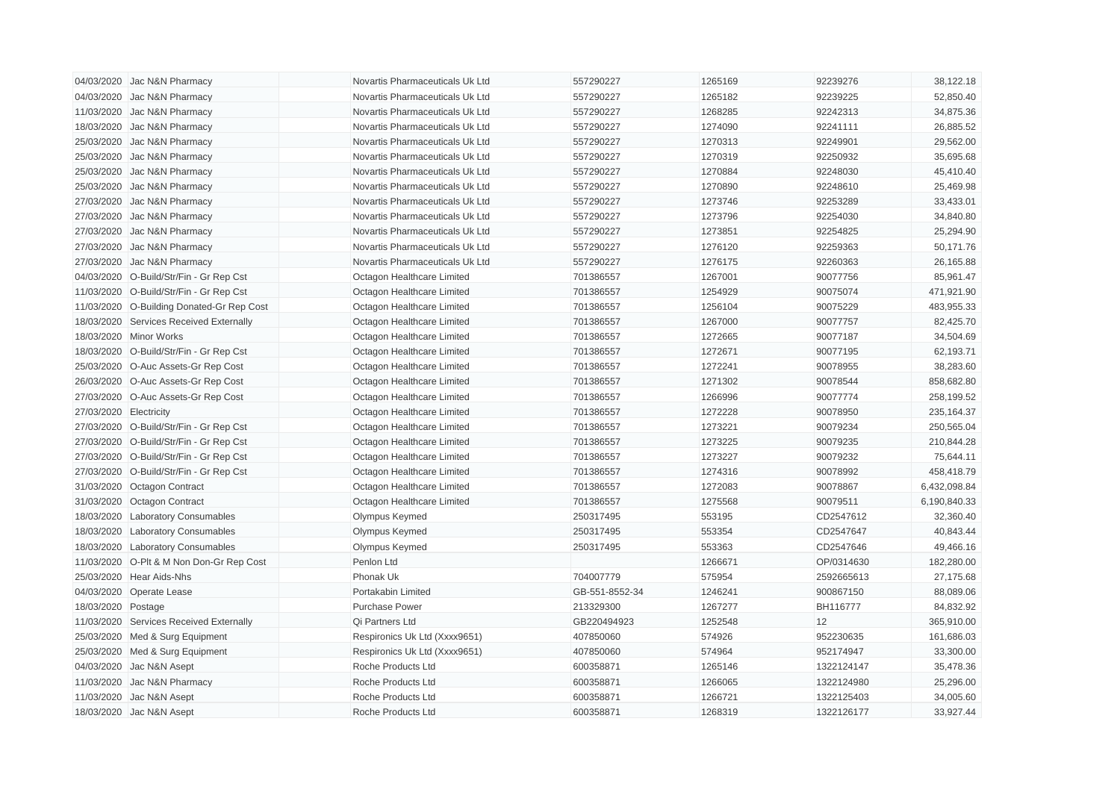| 04/03/2020 | Jac N&N Pharmacy               | Novartis Pharmaceuticals Uk Ltd | 557290227      | 1265169 | 92239276   | 38,122.18    |
|------------|--------------------------------|---------------------------------|----------------|---------|------------|--------------|
| 04/03/2020 | Jac N&N Pharmacy               | Novartis Pharmaceuticals Uk Ltd | 557290227      | 1265182 | 92239225   | 52,850.40    |
| 11/03/2020 | Jac N&N Pharmacy               | Novartis Pharmaceuticals Uk Ltd | 557290227      | 1268285 | 92242313   | 34,875.36    |
| 18/03/2020 | Jac N&N Pharmacy               | Novartis Pharmaceuticals Uk Ltd | 557290227      | 1274090 | 92241111   | 26,885.52    |
| 25/03/2020 | Jac N&N Pharmacy               | Novartis Pharmaceuticals Uk Ltd | 557290227      | 1270313 | 92249901   | 29,562.00    |
| 25/03/2020 | Jac N&N Pharmacy               | Novartis Pharmaceuticals Uk Ltd | 557290227      | 1270319 | 92250932   | 35,695.68    |
| 25/03/2020 | Jac N&N Pharmacy               | Novartis Pharmaceuticals Uk Ltd | 557290227      | 1270884 | 92248030   | 45,410.40    |
| 25/03/2020 | Jac N&N Pharmacy               | Novartis Pharmaceuticals Uk Ltd | 557290227      | 1270890 | 92248610   | 25,469.98    |
| 27/03/2020 | Jac N&N Pharmacy               | Novartis Pharmaceuticals Uk Ltd | 557290227      | 1273746 | 92253289   | 33,433.01    |
| 27/03/2020 | Jac N&N Pharmacy               | Novartis Pharmaceuticals Uk Ltd | 557290227      | 1273796 | 92254030   | 34,840.80    |
| 27/03/2020 | Jac N&N Pharmacy               | Novartis Pharmaceuticals Uk Ltd | 557290227      | 1273851 | 92254825   | 25,294.90    |
| 27/03/2020 | Jac N&N Pharmacy               | Novartis Pharmaceuticals Uk Ltd | 557290227      | 1276120 | 92259363   | 50,171.76    |
| 27/03/2020 | Jac N&N Pharmacy               | Novartis Pharmaceuticals Uk Ltd | 557290227      | 1276175 | 92260363   | 26,165.88    |
| 04/03/2020 | O-Build/Str/Fin - Gr Rep Cst   | Octagon Healthcare Limited      | 701386557      | 1267001 | 90077756   | 85,961.47    |
| 11/03/2020 | O-Build/Str/Fin - Gr Rep Cst   | Octagon Healthcare Limited      | 701386557      | 1254929 | 90075074   | 471,921.90   |
| 11/03/2020 | O-Building Donated-Gr Rep Cost | Octagon Healthcare Limited      | 701386557      | 1256104 | 90075229   | 483,955.33   |
| 18/03/2020 | Services Received Externally   | Octagon Healthcare Limited      | 701386557      | 1267000 | 90077757   | 82,425.70    |
| 18/03/2020 | <b>Minor Works</b>             | Octagon Healthcare Limited      | 701386557      | 1272665 | 90077187   | 34,504.69    |
| 18/03/2020 | O-Build/Str/Fin - Gr Rep Cst   | Octagon Healthcare Limited      | 701386557      | 1272671 | 90077195   | 62,193.71    |
| 25/03/2020 | O-Auc Assets-Gr Rep Cost       | Octagon Healthcare Limited      | 701386557      | 1272241 | 90078955   | 38,283.60    |
| 26/03/2020 | O-Auc Assets-Gr Rep Cost       | Octagon Healthcare Limited      | 701386557      | 1271302 | 90078544   | 858,682.80   |
| 27/03/2020 | O-Auc Assets-Gr Rep Cost       | Octagon Healthcare Limited      | 701386557      | 1266996 | 90077774   | 258,199.52   |
| 27/03/2020 | Electricity                    | Octagon Healthcare Limited      | 701386557      | 1272228 | 90078950   | 235,164.37   |
| 27/03/2020 | O-Build/Str/Fin - Gr Rep Cst   | Octagon Healthcare Limited      | 701386557      | 1273221 | 90079234   | 250,565.04   |
| 27/03/2020 | O-Build/Str/Fin - Gr Rep Cst   | Octagon Healthcare Limited      | 701386557      | 1273225 | 90079235   | 210,844.28   |
| 27/03/2020 | O-Build/Str/Fin - Gr Rep Cst   | Octagon Healthcare Limited      | 701386557      | 1273227 | 90079232   | 75,644.11    |
| 27/03/2020 | O-Build/Str/Fin - Gr Rep Cst   | Octagon Healthcare Limited      | 701386557      | 1274316 | 90078992   | 458,418.79   |
| 31/03/2020 | Octagon Contract               | Octagon Healthcare Limited      | 701386557      | 1272083 | 90078867   | 6,432,098.84 |
| 31/03/2020 | <b>Octagon Contract</b>        | Octagon Healthcare Limited      | 701386557      | 1275568 | 90079511   | 6,190,840.33 |
| 18/03/2020 | <b>Laboratory Consumables</b>  | Olympus Keymed                  | 250317495      | 553195  | CD2547612  | 32,360.40    |
| 18/03/2020 | <b>Laboratory Consumables</b>  | Olympus Keymed                  | 250317495      | 553354  | CD2547647  | 40,843.44    |
| 18/03/2020 | <b>Laboratory Consumables</b>  | Olympus Keymed                  | 250317495      | 553363  | CD2547646  | 49,466.16    |
| 11/03/2020 | O-Plt & M Non Don-Gr Rep Cost  | Penlon Ltd                      |                | 1266671 | OP/0314630 | 182,280.00   |
| 25/03/2020 | Hear Aids-Nhs                  | Phonak Uk                       | 704007779      | 575954  | 2592665613 | 27,175.68    |
| 04/03/2020 | Operate Lease                  | Portakabin Limited              | GB-551-8552-34 | 1246241 | 900867150  | 88,089.06    |
| 18/03/2020 | Postage                        | <b>Purchase Power</b>           | 213329300      | 1267277 | BH116777   | 84,832.92    |
| 11/03/2020 | Services Received Externally   | Qi Partners Ltd                 | GB220494923    | 1252548 | 12         | 365,910.00   |
| 25/03/2020 | Med & Surg Equipment           | Respironics Uk Ltd (Xxxx9651)   | 407850060      | 574926  | 952230635  | 161,686.03   |
| 25/03/2020 | Med & Surg Equipment           | Respironics Uk Ltd (Xxxx9651)   | 407850060      | 574964  | 952174947  | 33,300.00    |
| 04/03/2020 | Jac N&N Asept                  | Roche Products Ltd              | 600358871      | 1265146 | 1322124147 | 35,478.36    |
| 11/03/2020 | Jac N&N Pharmacy               | Roche Products Ltd              | 600358871      | 1266065 | 1322124980 | 25,296.00    |
| 11/03/2020 | Jac N&N Asept                  | Roche Products Ltd              | 600358871      | 1266721 | 1322125403 | 34,005.60    |
|            | 18/03/2020 Jac N&N Asept       | Roche Products Ltd              | 600358871      | 1268319 | 1322126177 | 33,927.44    |